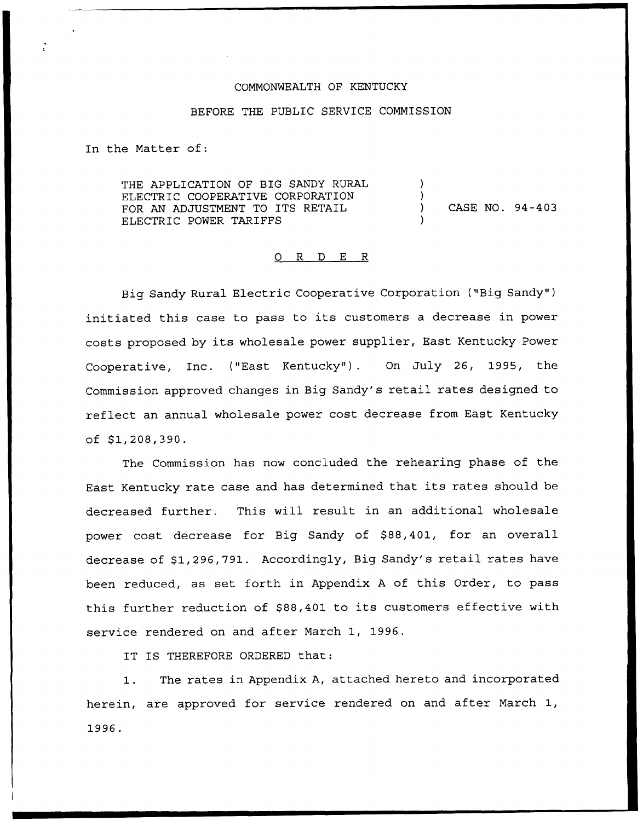#### COMMONWEALTH OF KENTUCKY

### BEFORE THE PUBLIC SERVICE COMMISSION

In the Matter of:

THE APPLICATION OF BIG SANDY RURAL ELECTRIC COOPERATIVE CORPORATION FOR AN ADJUSTMENT TO ITS RETAIL ELECTRIC POWER TARIFFS ) ) ) CASE NO. 94 -4 03 )

#### 0 R <sup>D</sup> E R

Big Sandy Rural Electric Cooperative Corporation ("Big Sandy" ) initiated this case to pass to its customers <sup>a</sup> decrease in power costs proposed by its wholesale power supplier, East Kentucky Power Cooperative, Inc. ("East Kentucky"). On July 26, 1995, the Commission approved changes in Big Sandy's retail rates designed to reflect an annual wholesale power cost decrease from East Kentucky of  $$1,208,390.$ 

The Commission has now concluded the rehearing phase of the East Kentucky rate case and has determined that its rates should be decreased further. This will result in an additional wholesale power cost decrease for Big Sandy of \$88,401, for an overall decrease of \$1,296,791. Accordingly, Big Sandy's retail rates have been reduced, as set forth in Appendix <sup>A</sup> of this Order, to pass this further reduction of \$88,401 to its customers effective with service rendered on and after March 1, 1996.

IT IS THEREFORE ORDERED that:

The rates in Appendix A, attached hereto and incorporated 1. herein, are approved for service rendered on and after March 1, 1996.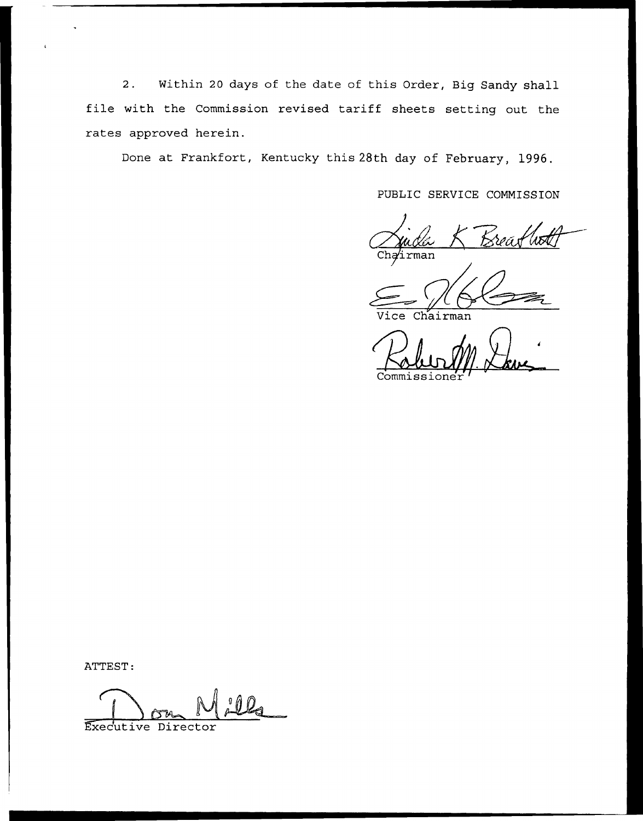2. Within <sup>20</sup> days of the date of this Order, Big Sandy shall file with the Commission revised tariff sheets setting out the rates approved herein.

Done at Frankfort, Kentucky this 28th day of February, 1996.

PUBLIC SERVICE COMMISSION

Chairman

Chairman

Commissione

ATTEST:

Executive Director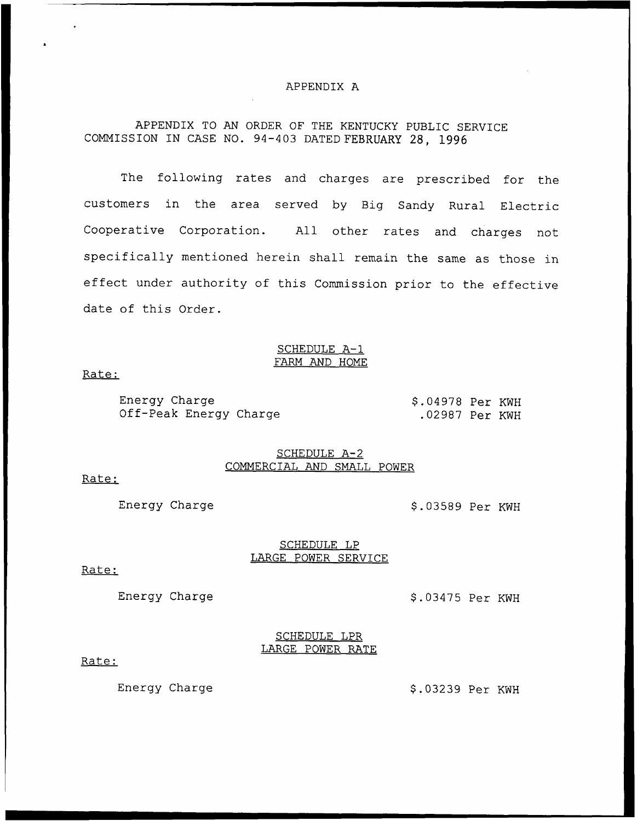### APPENDIX A

# APPENDIX TO AN ORDER OF THE KENTUCKY PUBLIC SERVICE COMMISSION IN CASE NO. 94 —403 DATED FEBRUARY 28, 1996

The following rates and charges are prescribed for the customers in the area served by Big Sandy Rural Electric Cooperative Corporation. All other rates and charges not specifically mentioned herein shall remain the same as those in effect under authority of this Commission prior to the effective date of this Order.

### SCHEDULE A-1 FARM AND HOME

#### Rate:

Energy Charge Off-Peak Energy Charge \$ .04978 Per KWH .02987 Per KWH

# SCHEDULE A-2 COMMERCIAL AND SMALL POWER

### Rate:

Energy Charge  $$.03589$  Per KWH

# SCHEDULE LP LARGE POWER SERVICE

#### Rate:

Energy Charge  $$.03475$  Per KWH

SCHEDULE LPR LARGE POWER RATE

# Rate:

Energy Charge  $$.03239$  Per KWH